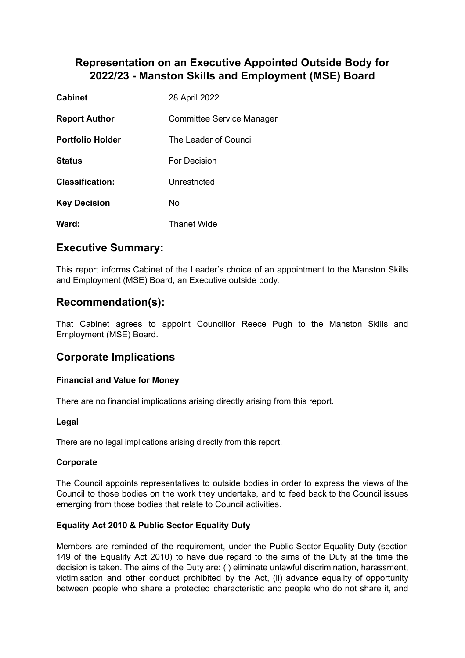# **Representation on an Executive Appointed Outside Body for 2022/23 - Manston Skills and Employment (MSE) Board**

| <b>Cabinet</b>          | 28 April 2022                    |
|-------------------------|----------------------------------|
| <b>Report Author</b>    | <b>Committee Service Manager</b> |
| <b>Portfolio Holder</b> | The Leader of Council            |
| <b>Status</b>           | For Decision                     |
| <b>Classification:</b>  | Unrestricted                     |
| <b>Key Decision</b>     | No                               |
| Ward:                   | <b>Thanet Wide</b>               |

# **Executive Summary:**

This report informs Cabinet of the Leader's choice of an appointment to the Manston Skills and Employment (MSE) Board, an Executive outside body.

## **Recommendation(s):**

That Cabinet agrees to appoint Councillor Reece Pugh to the Manston Skills and Employment (MSE) Board.

## **Corporate Implications**

### **Financial and Value for Money**

There are no financial implications arising directly arising from this report.

#### **Legal**

There are no legal implications arising directly from this report.

#### **Corporate**

The Council appoints representatives to outside bodies in order to express the views of the Council to those bodies on the work they undertake, and to feed back to the Council issues emerging from those bodies that relate to Council activities.

#### **Equality Act 2010 & Public Sector Equality Duty**

Members are reminded of the requirement, under the Public Sector Equality Duty (section 149 of the Equality Act 2010) to have due regard to the aims of the Duty at the time the decision is taken. The aims of the Duty are: (i) eliminate unlawful discrimination, harassment, victimisation and other conduct prohibited by the Act, (ii) advance equality of opportunity between people who share a protected characteristic and people who do not share it, and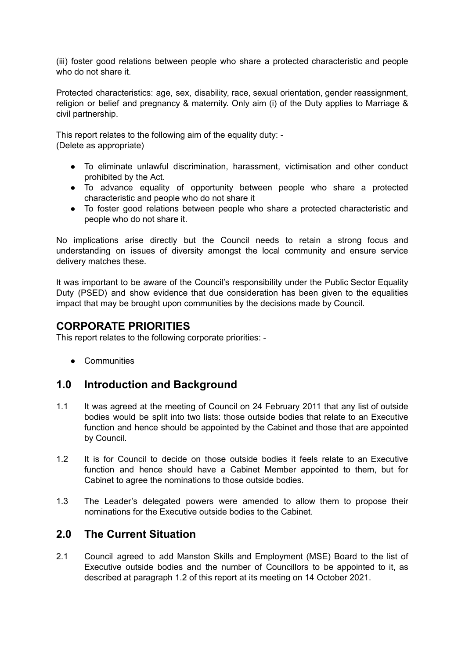(iii) foster good relations between people who share a protected characteristic and people who do not share it.

Protected characteristics: age, sex, disability, race, sexual orientation, gender reassignment, religion or belief and pregnancy & maternity. Only aim (i) of the Duty applies to Marriage & civil partnership.

This report relates to the following aim of the equality duty: - (Delete as appropriate)

- To eliminate unlawful discrimination, harassment, victimisation and other conduct prohibited by the Act.
- To advance equality of opportunity between people who share a protected characteristic and people who do not share it
- To foster good relations between people who share a protected characteristic and people who do not share it.

No implications arise directly but the Council needs to retain a strong focus and understanding on issues of diversity amongst the local community and ensure service delivery matches these.

It was important to be aware of the Council's responsibility under the Public Sector Equality Duty (PSED) and show evidence that due consideration has been given to the equalities impact that may be brought upon communities by the decisions made by Council*.*

## **CORPORATE PRIORITIES**

This report relates to the following corporate priorities: -

● Communities

### **1.0 Introduction and Background**

- 1.1 It was agreed at the meeting of Council on 24 February 2011 that any list of outside bodies would be split into two lists: those outside bodies that relate to an Executive function and hence should be appointed by the Cabinet and those that are appointed by Council.
- 1.2 It is for Council to decide on those outside bodies it feels relate to an Executive function and hence should have a Cabinet Member appointed to them, but for Cabinet to agree the nominations to those outside bodies.
- 1.3 The Leader's delegated powers were amended to allow them to propose their nominations for the Executive outside bodies to the Cabinet.

## **2.0 The Current Situation**

2.1 Council agreed to add Manston Skills and Employment (MSE) Board to the list of Executive outside bodies and the number of Councillors to be appointed to it, as described at paragraph 1.2 of this report at its meeting on 14 October 2021.